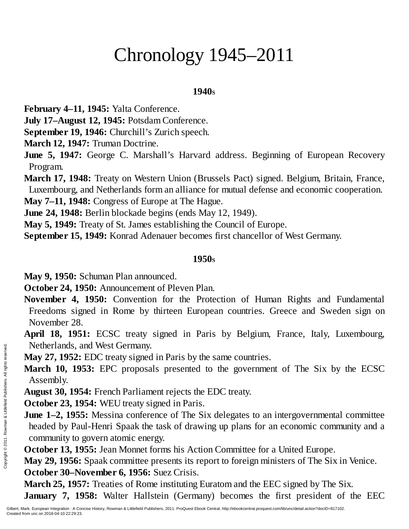# Chronology 1945–2011

#### **1940<sup>S</sup>**

**February 4–11, 1945:** Yalta Conference.

**July 17–August 12, 1945:** Potsdam Conference.

**September 19, 1946:** Churchill's Zurich speech.

**March 12, 1947:** Truman Doctrine.

**June 5, 1947:** George C. Marshall's Harvard address. Beginning of European Recovery Program.

**March 17, 1948:** Treaty on Western Union (Brussels Pact) signed. Belgium, Britain, France, Luxembourg, and Netherlands form an alliance for mutual defense and economic cooperation.

**May 7–11, 1948:** Congress of Europe at The Hague.

**June 24, 1948:** Berlin blockade begins (ends May 12, 1949).

**May 5, 1949:** Treaty of St. James establishing the Council of Europe.

**September 15, 1949:** Konrad Adenauer becomes first chancellor of West Germany.

### **1950<sup>S</sup>**

**May 9, 1950:** Schuman Plan announced.

**October 24, 1950:** Announcement of Pleven Plan.

**November 4, 1950:** Convention for the Protection of Human Rights and Fundamental Freedoms signed in Rome by thirteen European countries. Greece and Sweden sign on November 28.

**April 18, 1951:** ECSC treaty signed in Paris by Belgium, France, Italy, Luxembourg, Netherlands, and West Germany.

**May 27, 1952:** EDC treaty signed in Paris by the same countries.

**March 10, 1953:** EPC proposals presented to the government of The Six by the ECSC Assembly.

**August 30, 1954:** French Parliament rejects the EDC treaty.

**October 23, 1954:** WEU treaty signed in Paris.

**June 1–2, 1955:** Messina conference of The Six delegates to an intergovernmental committee headed by Paul-Henri Spaak the task of drawing up plans for an economic community and a community to govern atomic energy. Netherlands, a<br>
May 27, 1952:<br>
March 10, 19.<br>
Assembly.<br>
August 30, 195<br>
October 23, 19<br>
June 1–2, 1955<br>
headed by Pau<br>
community to<br>
Community to<br>
October 13, 19<br>
May 29, 1956:<br>
October 30–Nu<br>
March 25, 195<br>
January 7, 1

**October 13, 1955:** Jean Monnet forms his Action Committee for a United Europe.

**May 29, 1956:** Spaak committee presents its report to foreign ministers of The Six in Venice. **October 30–November 6, 1956:** Suez Crisis.

**March 25, 1957:** Treaties of Rome instituting Euratom and the EEC signed by The Six. **January 7, 1958:** Walter Hallstein (Germany) becomes the first president of the EEC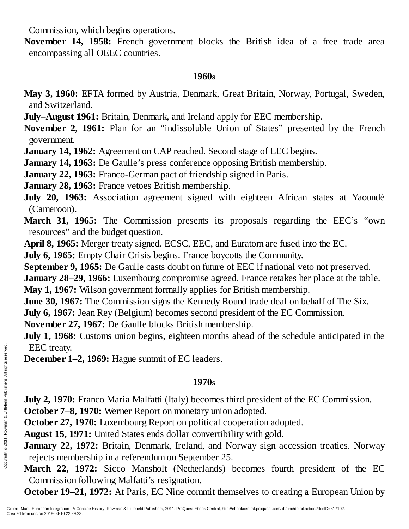Commission, which begins operations.

**November 14, 1958:** French government blocks the British idea of a free trade area encompassing all OEEC countries.

#### **1960<sup>S</sup>**

- **May 3, 1960:** EFTA formed by Austria, Denmark, Great Britain, Norway, Portugal, Sweden, and Switzerland.
- **July–August 1961:** Britain, Denmark, and Ireland apply for EEC membership.

**November 2, 1961:** Plan for an "indissoluble Union of States" presented by the French government.

**January 14, 1962:** Agreement on CAP reached. Second stage of EEC begins.

**January 14, 1963:** De Gaulle's press conference opposing British membership.

**January 22, 1963:** Franco-German pact of friendship signed in Paris.

**January 28, 1963:** France vetoes British membership.

**July 20, 1963:** Association agreement signed with eighteen African states at Yaoundé (Cameroon).

**March 31, 1965:** The Commission presents its proposals regarding the EEC's "own resources" and the budget question.

**April 8, 1965:** Merger treaty signed. ECSC, EEC, and Euratom are fused into the EC.

**July 6, 1965:** Empty Chair Crisis begins. France boycotts the Community.

**September 9, 1965:** De Gaulle casts doubt on future of EEC if national veto not preserved.

**January 28–29, 1966:** Luxembourg compromise agreed. France retakes her place at the table.

**May 1, 1967:** Wilson government formally applies for British membership.

**June 30, 1967:** The Commission signs the Kennedy Round trade deal on behalf of The Six.

**July 6, 1967:** Jean Rey (Belgium) becomes second president of the EC Commission.

**November 27, 1967:** De Gaulle blocks British membership.

**July 1, 1968:** Customs union begins, eighteen months ahead of the schedule anticipated in the EEC treaty.

**December 1–2, 1969:** Hague summit of EC leaders.

# **1970<sup>S</sup>**

**July 2, 1970:** Franco Maria Malfatti (Italy) becomes third president of the EC Commission.

**October 7–8, 1970:** Werner Report on monetary union adopted.

**October 27, 1970:** Luxembourg Report on political cooperation adopted.

**August 15, 1971:** United States ends dollar convertibility with gold.

**January 22, 1972:** Britain, Denmark, Ireland, and Norway sign accession treaties. Norway rejects membership in a referendum on September 25.

**March 22, 1972:** Sicco Mansholt (Netherlands) becomes fourth president of the EC Commission following Malfatti's resignation. EEC treaty.<br>
December 1–2<br>  $\frac{1}{2}$ <br>  $\frac{1}{2}$ <br>  $\frac{1}{2}$ <br>
Duly 2, 1970: F<br>
October 7–8, 1<br>
October 27, 19<br>
August 15, 197<br>
January 22, 19<br>
Tanuary 22, 19<br>
rejects membe<br>
March 22, 19<br>
Commission fo<br>
October 19–21<br>
Gilbe

**October 19–21, 1972:** At Paris, EC Nine commit themselves to creating a European Union by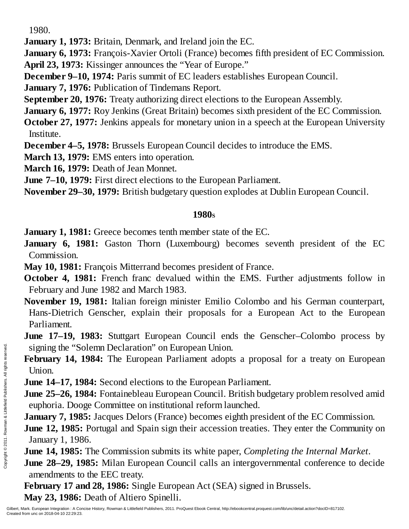1980.

**January 1, 1973:** Britain, Denmark, and Ireland join the EC.

**January 6, 1973:** François-Xavier Ortoli (France) becomes fifth president of EC Commission. **April 23, 1973:** Kissinger announces the "Year of Europe."

**December 9–10, 1974:** Paris summit of EC leaders establishes European Council.

**January 7, 1976:** Publication of Tindemans Report.

**September 20, 1976:** Treaty authorizing direct elections to the European Assembly.

**January 6, 1977:** Roy Jenkins (Great Britain) becomes sixth president of the EC Commission.

**October 27, 1977:** Jenkins appeals for monetary union in a speech at the European University Institute.

**December 4–5, 1978:** Brussels European Council decides to introduce the EMS.

**March 13, 1979:** EMS enters into operation.

**March 16, 1979:** Death of Jean Monnet.

**June 7–10, 1979:** First direct elections to the European Parliament.

**November 29–30, 1979:** British budgetary question explodes at Dublin European Council.

## **1980<sup>S</sup>**

**January 1, 1981:** Greece becomes tenth member state of the EC.

**January 6, 1981:** Gaston Thorn (Luxembourg) becomes seventh president of the EC Commission.

**May 10, 1981:** François Mitterrand becomes president of France.

**October 4, 1981:** French franc devalued within the EMS. Further adjustments follow in February and June 1982 and March 1983.

**November 19, 1981:** Italian foreign minister Emilio Colombo and his German counterpart, Hans-Dietrich Genscher, explain their proposals for a European Act to the European Parliament.

**June 17–19, 1983:** Stuttgart European Council ends the Genscher–Colombo process by signing the "Solemn Declaration" on European Union.

**February 14, 1984:** The European Parliament adopts a proposal for a treaty on European Union.

**June 14–17, 1984:** Second elections to the European Parliament.

**June 25–26, 1984:** Fontainebleau European Council. British budgetary problem resolved amid euphoria. Dooge Committee on institutional reform launched. Signing the "Screated from unc on 2018-04-10 22:29:23.<br>
Experiment Mark European Integration : A Copyright Created from unc on 2018-04-10 22:29:23.<br>
Created from unc on 2018-04-10 22:29:23.<br>
Created from unc on 2018-04-10

**January 7, 1985:** Jacques Delors (France) becomes eighth president of the EC Commission.

**June 12, 1985:** Portugal and Spain sign their accession treaties. They enter the Community on January 1, 1986.

**June 14, 1985:** The Commission submits its white paper, *Completing the Internal Market*.

**June 28–29, 1985:** Milan European Council calls an intergovernmental conference to decide amendments to the EEC treaty.

**February 17 and 28, 1986:** Single European Act (SEA) signed in Brussels. **May 23, 1986:** Death of Altiero Spinelli.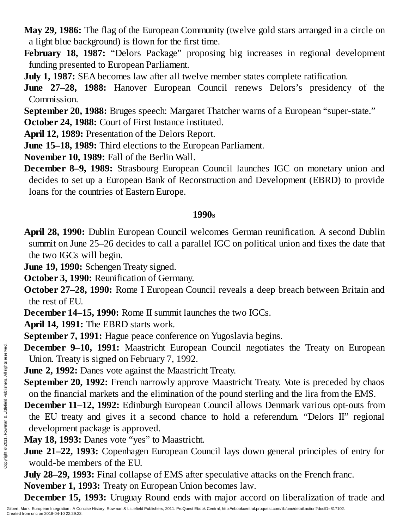- **May 29, 1986:** The flag of the European Community (twelve gold stars arranged in a circle on a light blue background) is flown for the first time.
- **February 18, 1987:** "Delors Package" proposing big increases in regional development funding presented to European Parliament.
- **July 1, 1987:** SEA becomes law after all twelve member states complete ratification.
- **June 27–28, 1988:** Hanover European Council renews Delors's presidency of the Commission.
- **September 20, 1988:** Bruges speech: Margaret Thatcher warns of a European "super-state."
- **October 24, 1988:** Court of First Instance instituted.
- **April 12, 1989:** Presentation of the Delors Report.
- **June 15–18, 1989:** Third elections to the European Parliament.
- **November 10, 1989:** Fall of the Berlin Wall.
- **December 8–9, 1989:** Strasbourg European Council launches IGC on monetary union and decides to set up a European Bank of Reconstruction and Development (EBRD) to provide loans for the countries of Eastern Europe.

## **1990<sup>S</sup>**

- **April 28, 1990:** Dublin European Council welcomes German reunification. A second Dublin summit on June 25–26 decides to call a parallel IGC on political union and fixes the date that the two IGCs will begin.
- **June 19, 1990:** Schengen Treaty signed.
- **October 3, 1990:** Reunification of Germany.
- **October 27–28, 1990:** Rome I European Council reveals a deep breach between Britain and the rest of EU.
- **December 14–15, 1990:** Rome II summit launches the two IGCs.
- **April 14, 1991:** The EBRD starts work.
- **September 7, 1991:** Hague peace conference on Yugoslavia begins.
- **December 9–10, 1991:** Maastricht European Council negotiates the Treaty on European Union. Treaty is signed on February 7, 1992.
- **June 2, 1992:** Danes vote against the Maastricht Treaty.
- **September 20, 1992:** French narrowly approve Maastricht Treaty. Vote is preceded by chaos on the financial markets and the elimination of the pound sterling and the lira from the EMS.
- **December 11–12, 1992:** Edinburgh European Council allows Denmark various opt-outs from the EU treaty and gives it a second chance to hold a referendum. "Delors II" regional development package is approved. December 9–1<br>
Union. Treaty<br>
June 2, 1992: I<br>
September 20,<br>
on the financia<br>
December 11–<br>
the EU treaty<br>
development p<br>
May 18, 1993:<br>
June 21–22, 19<br>
would-be men<br>
July 28–29, 19<br>
November 1, 1<br>
December 15,<br>
Silbert,
	- **May 18, 1993:** Danes vote "yes" to Maastricht.
	- **June 21–22, 1993:** Copenhagen European Council lays down general principles of entry for would-be members of the EU.
	- **July 28–29, 1993:** Final collapse of EMS after speculative attacks on the French franc.
	- **November 1, 1993:** Treaty on European Union becomes law.
	- **December 15, 1993:** Uruguay Round ends with major accord on liberalization of trade and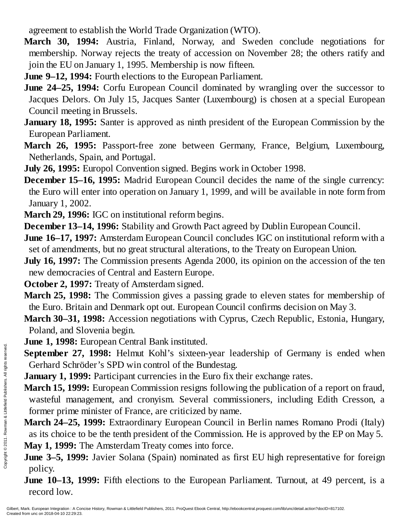agreement to establish the World Trade Organization (WTO).

- **March 30, 1994:** Austria, Finland, Norway, and Sweden conclude negotiations for membership. Norway rejects the treaty of accession on November 28; the others ratify and join the EU on January 1, 1995. Membership is now fifteen.
- **June 9–12, 1994:** Fourth elections to the European Parliament.
- **June 24–25, 1994:** Corfu European Council dominated by wrangling over the successor to Jacques Delors. On July 15, Jacques Santer (Luxembourg) is chosen at a special European Council meeting in Brussels.
- **January 18, 1995:** Santer is approved as ninth president of the European Commission by the European Parliament.
- **March 26, 1995:** Passport-free zone between Germany, France, Belgium, Luxembourg, Netherlands, Spain, and Portugal.

**July 26, 1995:** Europol Convention signed. Begins work in October 1998.

**December 15–16, 1995:** Madrid European Council decides the name of the single currency: the Euro will enter into operation on January 1, 1999, and will be available in note form from January 1, 2002.

**March 29, 1996:** IGC on institutional reform begins.

**December 13–14, 1996:** Stability and Growth Pact agreed by Dublin European Council.

**June 16–17, 1997:** Amsterdam European Council concludes IGC on institutional reform with a set of amendments, but no great structural alterations, to the Treaty on European Union.

**July 16, 1997:** The Commission presents Agenda 2000, its opinion on the accession of the ten new democracies of Central and Eastern Europe.

**October 2, 1997:** Treaty of Amsterdam signed.

- **March 25, 1998:** The Commission gives a passing grade to eleven states for membership of the Euro. Britain and Denmark opt out. European Council confirms decision on May 3.
- **March 30–31, 1998:** Accession negotiations with Cyprus, Czech Republic, Estonia, Hungary, Poland, and Slovenia begin.

**June 1, 1998:** European Central Bank instituted.

**September 27, 1998:** Helmut Kohl's sixteen-year leadership of Germany is ended when Gerhard Schröder's SPD win control of the Bundestag.

**January 1, 1999:** Participant currencies in the Euro fix their exchange rates.

**March 15, 1999:** European Commission resigns following the publication of a report on fraud, wasteful management, and cronyism. Several commissioners, including Edith Cresson, a former prime minister of France, are criticized by name. Example 19 1993.<br>
September 27<br>
Gerhard Schrönder<br>
March 15, 1999<br>
wasteful mana<br>
former prime<br> **March 24–25,<br>
as its choice to May 1, 1999: 7<br>
June 3–5, 1999<br>
policy.<br>
June 10–13, 1<br>
Fecord low.**<br>
Silbert, Mark. European

**March 24–25, 1999:** Extraordinary European Council in Berlin names Romano Prodi (Italy) as its choice to be the tenth president of the Commission. He is approved by the EP on May 5. **May 1, 1999:** The Amsterdam Treaty comes into force.

**June 3–5, 1999:** Javier Solana (Spain) nominated as first EU high representative for foreign policy.

**June 10–13, 1999:** Fifth elections to the European Parliament. Turnout, at 49 percent, is a record low.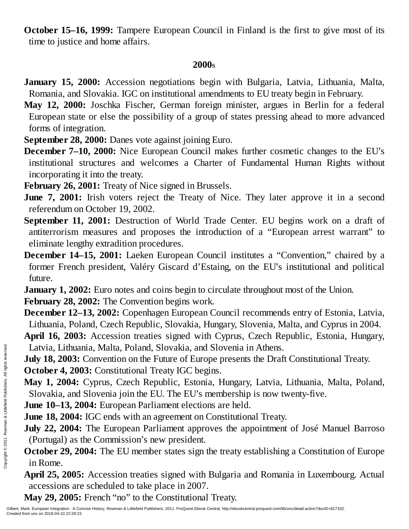**October 15–16, 1999:** Tampere European Council in Finland is the first to give most of its time to justice and home affairs.

### **2000<sup>S</sup>**

- **January 15, 2000:** Accession negotiations begin with Bulgaria, Latvia, Lithuania, Malta, Romania, and Slovakia. IGC on institutional amendments to EU treaty begin in February.
- **May 12, 2000:** Joschka Fischer, German foreign minister, argues in Berlin for a federal European state or else the possibility of a group of states pressing ahead to more advanced forms of integration.
- **September 28, 2000:** Danes vote against joining Euro.
- **December 7–10, 2000:** Nice European Council makes further cosmetic changes to the EU's institutional structures and welcomes a Charter of Fundamental Human Rights without incorporating it into the treaty.
- **February 26, 2001:** Treaty of Nice signed in Brussels.
- **June 7, 2001:** Irish voters reject the Treaty of Nice. They later approve it in a second referendum on October 19, 2002.
- **September 11, 2001:** Destruction of World Trade Center. EU begins work on a draft of antiterrorism measures and proposes the introduction of a "European arrest warrant" to eliminate lengthy extradition procedures.
- **December 14–15, 2001:** Laeken European Council institutes a "Convention," chaired by a former French president, Valéry Giscard d'Estaing, on the EU's institutional and political future.

**January 1, 2002:** Euro notes and coins begin to circulate throughout most of the Union.

**February 28, 2002:** The Convention begins work.

- **December 12–13, 2002:** Copenhagen European Council recommends entry of Estonia, Latvia, Lithuania, Poland, Czech Republic, Slovakia, Hungary, Slovenia, Malta, and Cyprus in 2004.
- **April 16, 2003:** Accession treaties signed with Cyprus, Czech Republic, Estonia, Hungary, Latvia, Lithuania, Malta, Poland, Slovakia, and Slovenia in Athens.
- **July 18, 2003:** Convention on the Future of Europe presents the Draft Constitutional Treaty. **October 4, 2003:** Constitutional Treaty IGC begins. Example 10.<br>
Example 2003:<br>
Created from unc on 2018-24-10 22:29:23.<br>
Created from unc on 2018-04-10 22:29:23.<br>
Created from unc on 2018-04-10 22:29:23.<br>
Created from unc on 2018-04-10 22:29:23.<br>
Created from unc on 2018-
	- **May 1, 2004:** Cyprus, Czech Republic, Estonia, Hungary, Latvia, Lithuania, Malta, Poland, Slovakia, and Slovenia join the EU. The EU's membership is now twenty-five.
	- **June 10–13, 2004:** European Parliament elections are held.
	- **June 18, 2004:** IGC ends with an agreement on Constitutional Treaty.
	- **July 22, 2004:** The European Parliament approves the appointment of José Manuel Barroso (Portugal) as the Commission's new president.
	- **October 29, 2004:** The EU member states sign the treaty establishing a Constitution of Europe in Rome.
	- **April 25, 2005:** Accession treaties signed with Bulgaria and Romania in Luxembourg. Actual accessions are scheduled to take place in 2007.
	- **May 29, 2005:** French "no" to the Constitutional Treaty.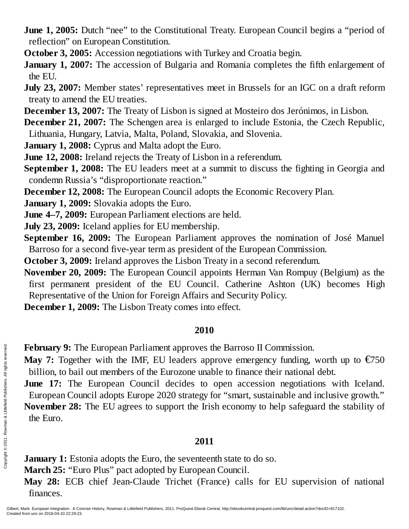- **June 1, 2005:** Dutch "nee" to the Constitutional Treaty. European Council begins a "period of reflection" on European Constitution.
- **October 3, 2005:** Accession negotiations with Turkey and Croatia begin.
- **January 1, 2007:** The accession of Bulgaria and Romania completes the fifth enlargement of the EU.
- **July 23, 2007:** Member states' representatives meet in Brussels for an IGC on a draft reform treaty to amend the EU treaties.
- **December 13, 2007:** The Treaty of Lisbon is signed at Mosteiro dos Jerónimos, in Lisbon.
- **December 21, 2007:** The Schengen area is enlarged to include Estonia, the Czech Republic, Lithuania, Hungary, Latvia, Malta, Poland, Slovakia, and Slovenia.
- **January 1, 2008:** Cyprus and Malta adopt the Euro.
- **June 12, 2008:** Ireland rejects the Treaty of Lisbon in a referendum.
- **September 1, 2008:** The EU leaders meet at a summit to discuss the fighting in Georgia and condemn Russia's "disproportionate reaction."
- **December 12, 2008:** The European Council adopts the Economic Recovery Plan.
- **January 1, 2009:** Slovakia adopts the Euro.
- **June 4–7, 2009:** European Parliament elections are held.
- **July 23, 2009:** Iceland applies for EU membership.
- **September 16, 2009:** The European Parliament approves the nomination of José Manuel Barroso for a second five-year term as president of the European Commission.
- **October 3, 2009:** Ireland approves the Lisbon Treaty in a second referendum.
- **November 20, 2009:** The European Council appoints Herman Van Rompuy (Belgium) as the first permanent president of the EU Council. Catherine Ashton (UK) becomes High Representative of the Union for Foreign Affairs and Security Policy.
- **December 1, 2009:** The Lisbon Treaty comes into effect.

# **2010**

- **February 9:** The European Parliament approves the Barroso II Commission.
- **May 7:** Together with the IMF, EU leaders approve emergency funding, worth up to  $\epsilon$ 750 billion, to bail out members of the Eurozone unable to finance their national debt.
- **June 17:** The European Council decides to open accession negotiations with Iceland. European Council adopts Europe 2020 strategy for "smart, sustainable and inclusive growth." **November 28:** The EU agrees to support the Irish economy to help safeguard the stability of the Euro. February 9: The<br>
Engaged Billion, to bail<br>
June 17: The<br>
European Cou<br>
November 28:<br>
the Euro.<br>
served.<br>
From 2011.<br>
Served. All rights reserved.<br>
Served. All rights reserved.<br>
Served. All rights reserved. All rights rese

# **2011**

**January 1:** Estonia adopts the Euro, the seventeenth state to do so.

**March 25:** "Euro Plus" pact adopted by European Council.

**May 28:** ECB chief Jean-Claude Trichet (France) calls for EU supervision of national finances.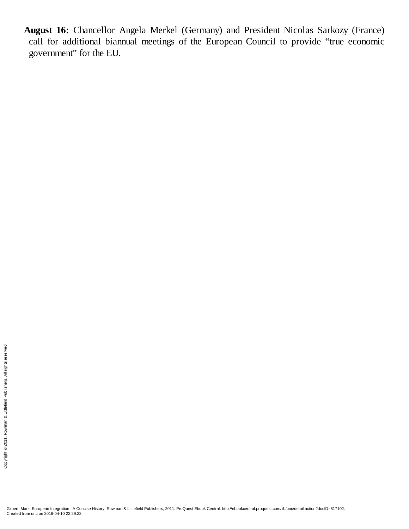**August 16:** Chancellor Angela Merkel (Germany) and President Nicolas Sarkozy (France) call for additional biannual meetings of the European Council to provide "true economic government" for the EU.